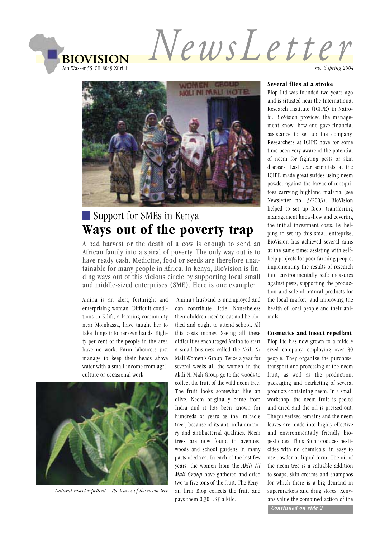

NewsLetter



# Support for SMEs in Kenya Ways out of the poverty trap

A bad harvest or the death of a cow is enough to send an African family into a spiral of poverty. The only way out is to have ready cash. Medicine, food or seeds are therefore unattainable for many people in Africa. In Kenya, BioVision is finding ways out of this vicious circle by supporting local small and middle-sized enterprises (SME). Here is one example:

Amina is an alert, forthright and enterprising woman. Difficult conditions in Kilifi, a farming community near Mombassa, have taught her to take things into her own hands. Eighty per cent of the people in the area have no work. Farm labourers just manage to keep their heads above water with a small income from agriculture or occasional work.



Natural insect repellent  $-$  the leaves of the neem tree

Amina's husband is unemploved and can contribute little. Nonetheless their children need to eat and be clothed and ought to attend school. All this costs money. Seeing all these difficulties encouraged Amina to start a small business called the Akili Ni Mali Women's Group. Twice a year for several weeks all the women in the Akili Ni Mali Group go to the woods to collect the fruit of the wild neem tree. The fruit looks somewhat like an olive. Neem originally came from India and it has been known for hundreds of years as the 'miracle tree', because of its anti inflammatory and antibacterial qualities. Neem trees are now found in avenues, woods and school gardens in many parts of Africa. In each of the last few years, the women from the Akili Ni Mali Group have gathered and dried two to five tons of the fruit. The Kenyan firm Biop collects the fruit and pays them 0,30 US\$ a kilo.

#### Several flies at a stroke

no. 6 spring 2004

Biop Ltd was founded two years ago and is situated near the International Research Institute (ICIPE) in Nairobi. BioVision provided the management know- how and gave financial assistance to set up the company. Researchers at ICIPE have for some time been very aware of the potential of neem for fighting pests or skin diseases. Last year scientists at the ICIPE made great strides using neem powder against the larvae of mosquitoes carrying highland malaria (see Newsletter no. 3/2003). BioVision helped to set up Biop, transferring management know-how and covering the initial investment costs. By helping to set up this small entreprise, BioVision has achieved several aims at the same time: assisting with selfhelp projects for poor farming people, implementing the results of research into environmentally safe measures against pests, supporting the production and sale of natural products for the local market, and improving the health of local people and their animals.

#### Cosmetics and insect repellant

Biop Ltd has now grown to a middle sized company, employing over 30 people. They organize the purchase, transport and processing of the neem fruit, as well as the production. packaging and marketing of several products containing neem. In a small workshop, the neem fruit is peeled and dried and the oil is pressed out. The pulverized remains and the neem leaves are made into highly effective and environmentally friendly biopesticides. Thus Biop produces pesticides with no chemicals, in easy to use powder or liquid form. The oil of the neem tree is a valuable addition to soaps, skin creams and shampoos for which there is a big demand in supermarkets and drug stores. Kenyans value the combined action of the Continued on side 2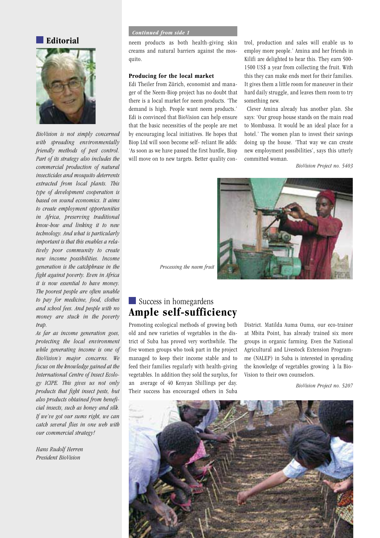

 $BioVision$  is not simply concerned *WITH SPREADING ENVIRONMENTALLY friendly* methods of pest control. *Part of its strategy also includes the COMMERCIAL PRODUCTION OF NATURAL insecticides and mosquito deterrents extracted from local plants. This type of development cooperation is based on sound economics. It aims to create employment opportunities in Africa, preserving traditional KNOW
HOW AND LINKING IT TO NEW Technology. And what is particularly important is that this enables a rela-Tively poor community to create*  $new$  *income possibilities. Income generation is the catchphrase in the fight against poverty. Even in Africa it is now essential to have money.* The poorest people are often unable to pay for medicine, food, clothes and school fees. And people with no *MONEY ARE STUCK IN THE POVERTY trap.* 

As far as income generation goes, *PROTECTING THE LOCAL ENVIRONMENT WHILE GENERATING INCOME IS ONE OF BioVision's major concerns. We focus on the knowledge gained at the International Centre of Insect Ecolo-GY )#)0% 4HIS GIVES US NOT ONLY PRODUCTS THAT FIGHT INSECT PESTS BUT* also products obtained from beneficial insects, such as honey and silk. If we've got our sums right, we can *CATCH SEVERAL FLIES IN ONE WEB WITH Our* commercial strategy!

Hans Rudolf Herren **President BioVision** 

#### *<i>Continued from side 1*

**Editorial** neem products as both health-giving skin creams and natural barriers against the mosquito.

### **Producing for the local market**

Edi Theiler from Zürich, economist and manager of the Neem-Biop project has no doubt that there is a local market for neem products. 'The demand is high. People want neem products.' Edi is convinced that BioVision can help ensure that the basic necessities of the people are met by encouraging local initiatives. He hopes that Biop Ltd will soon become self- reliant He adds: 'As soon as we have passed the first hurdle, Biop will move on to new targets. Better quality control, production and sales will enable us to employ more people.' Amina and her friends in Kilifi are delighted to hear this. They earn 500-1500 US\$ a year from collecting the fruit. With this they can make ends meet for their families. It gives them a little room for maneuver in their hard daily struggle, and leaves them room to try something new.

Clever Amina already has another plan. She says: 'Our group house stands on the main road to Mombassa. It would be an ideal place for a hotel.' The women plan to invest their savings doing up the house. 'That way we can create new employment possibilities', says this utterly committed woman.

BioVision Project no. 5403



*Processing the neem fruit* 

## Success in homegardens **Ample self-sufficiency**

Promoting ecological methods of growing both old and new varieties of vegetables in the district of Suba has proved very worthwhile. The five women groups who took part in the project managed to keep their income stable and to feed their families regularly with health-giving vegetables. In addition they sold the surplus, for an average of 40 Kenyan Shillings per day. Their success has encouraged others in Suba

District. Matilda Auma Ouma, our eco-trainer at Mbita Point, has already trained six more groups in organic farming. Even the National Agricultural and Livestock Extension Programme (NALEP) in Suba is interested in spreading the knowledge of vegetables growing à la Bio-Vision to their own counselors.

BioVision Project no. 5207

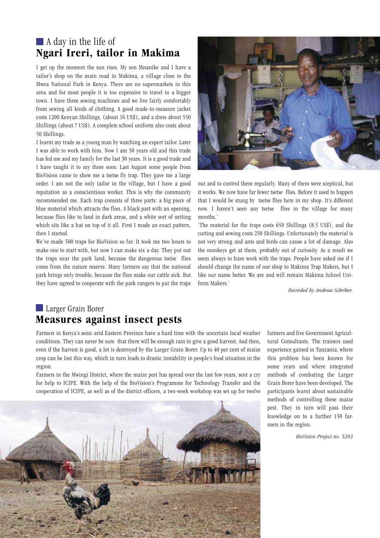## $\blacksquare$  A day in the life of Ngari Ireri, tailor in Makima

I get up the moment the sun rises. My son Mnanike and I have a tailor's shop on the main road in Makima, a village close to the Mwea National Park in Kenya. There are no supermarkets in this area and for most people it is too expensive to travel to a bigger town. I have three sewing machines and we live fairly comfortably from sewing all kinds of clothing. A good made-to-measure jacket costs 1200 Kenyan Shillings, (about 16 US\$), and a dress about 550 Shillings (about 7 US\$). A complete school uniform also costs about 50 Shillings.

I learnt my trade as a young man by watching an expert tailor. Later I was able to work with him. Now I am 50 years old and this trade has fed me and my family for the last 30 years. It is a good trade and I have taught it to my three sons. Last August some people from BioVision came to show me a tsetse fly trap. They gave me a large order. I am not the only tailor in the village, but I have a good reputation as a conscientious worker. This is why the community recommended me. Each trap consists of three parts: a big piece of blue material which attracts the flies. A black part with an opening, because flies like to land in dark areas, and a white sort of netting which sits like a hat on top of it all. First I made an exact pattern, then I started.

We've made 500 traps for BioVision so far. It took me two hours to make one to start with, but now I can make six a day. They put out the traps near the park land, because the dangerous tsetse flies come from the nature reserve. Many farmers say that the national park brings only trouble, because the flies make our cattle sick. But they have agreed to cooperate with the park rangers to put the traps



out and to control them regularly. Many of them were sceptical, but it works. We now have far fewer tsetse flies. Before it used to happen that I would be stung by tsetse flies here in my shop. It's different now. I haven't seen any tsetse flies in the village for many months.'

The material for the traps costs  $650$  Shillings  $(8.5 \text{ US})$ , and the cutting and sewing costs 250 Shillings. Unfortunately the material is not very strong and ants and birds can cause a lot of damage. Also the monkeys get at them, probably out of curiosity. As a result we seem always to have work with the traps. People have asked me if I should change the name of our shop to Makima Trap Makers, but I like our name better. We are and will remain Makima School Uniform Makers.'

*Recorded by Andreas Schriber.* 

## Larger Grain Borer **Measures against insect pests**

Farmers in Kenya's semi-arid Eastern Province have a hard time with the uncertain local weather conditions. They can never be sure that there will be enough rain to give a good harvest. And then, even if the harvest is good, a lot is destroyed by the Larger Grain Borer. Up to 40 per cent of maize crop can be lost this way, which in turn leads to drastic instability in people's food situation in the region.

Farmers in the Mwingi District, where the maize pest has spread over the last few years, sent a cry for help to ICIPE. With the help of the BioVision's Programme for Technology Transfer and the cooperation of ICIPE, as well as of the district officers, a two-week workshop was set up for twelve



farmers and five Government Agricultural Consultants. The trainers used experience gained in Tanzania, where this problem has been known for some years and where integrated methods of combating the Larger Grain Borer have been developed. The participants learnt about sustainable methods of controlling these maize pest. They in turn will pass their knowledge on to a further 150 farmers in the region.

BioVision Project no. 5203